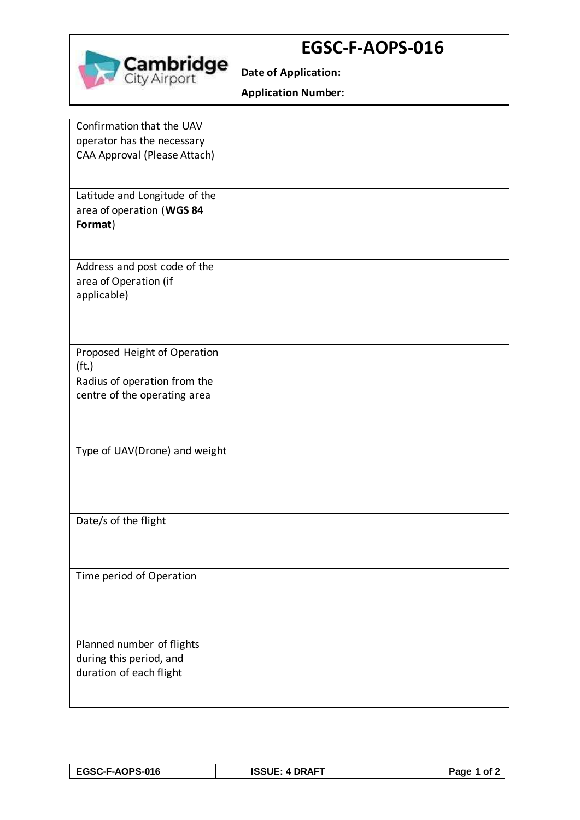

## **EGSC-F-AOPS-016**

**Date of Application:**

**Application Number:**

| Confirmation that the UAV<br>operator has the necessary<br>CAA Approval (Please Attach) |  |
|-----------------------------------------------------------------------------------------|--|
|                                                                                         |  |
| Latitude and Longitude of the<br>area of operation (WGS 84<br>Format)                   |  |
| Address and post code of the<br>area of Operation (if<br>applicable)                    |  |
| Proposed Height of Operation<br>(f <sub>t</sub> )                                       |  |
| Radius of operation from the<br>centre of the operating area                            |  |
| Type of UAV(Drone) and weight                                                           |  |
| Date/s of the flight                                                                    |  |
| Time period of Operation                                                                |  |
| Planned number of flights<br>during this period, and<br>duration of each flight         |  |

| <b>EGSC-F-AOPS-016</b> | <b>ISSUE: 4 DRAFT</b> | Page 1 of 2 |
|------------------------|-----------------------|-------------|
|------------------------|-----------------------|-------------|